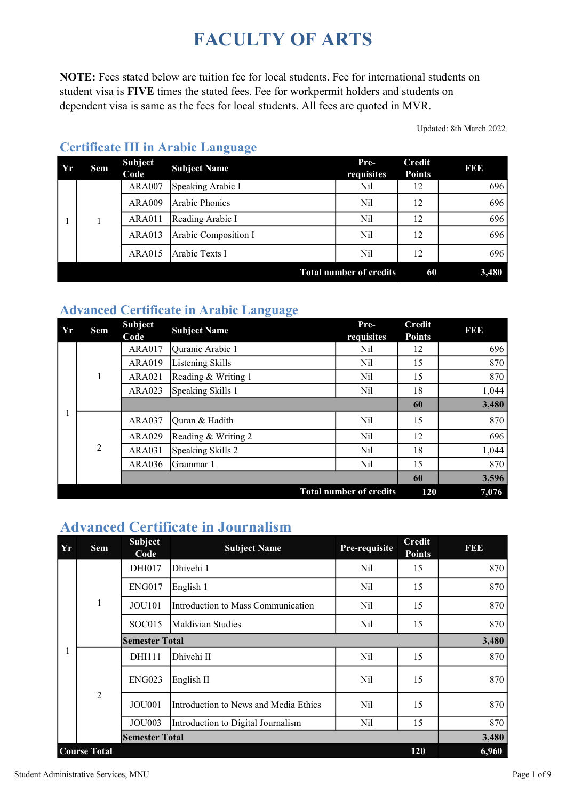# FACULTY OF ARTS

NOTE: Fees stated below are tuition fee for local students. Fee for international students on student visa is FIVE times the stated fees. Fee for workpermit holders and students on dependent visa is same as the fees for local students. All fees are quoted in MVR.

Updated: 8th March 2022

| $\Delta Y$ | <b>Sem</b> | <b>Subject</b><br>Code | <b>Subject Name</b>  | Pre-<br>requisites             | <b>Credit</b><br><b>Points</b> | <b>BBB</b> |
|------------|------------|------------------------|----------------------|--------------------------------|--------------------------------|------------|
|            |            | <b>ARA007</b>          | Speaking Arabic I    | Nil                            | 12                             | 696        |
|            |            | <b>ARA009</b>          | Arabic Phonics       | Nil                            | 12                             | 696        |
|            |            | <b>ARA011</b>          | Reading Arabic I     | Nil                            | 12                             | 696        |
|            |            | ARA013                 | Arabic Composition I | Nil                            | 12                             | 696        |
|            |            | ARA015                 | Arabic Texts I       | Nil                            | 12                             | 696        |
|            |            |                        |                      | <b>Total number of credits</b> | 60                             | 3,480      |

#### Certificate III in Arabic Language

#### Advanced Certificate in Arabic Language

| $ Y_r $ | Sem            | <b>Subject</b><br>Code | <b>Subject Name</b> | Pre-<br>requisites             | <b>Credit</b><br><b>Points</b> | 3  3  3 |
|---------|----------------|------------------------|---------------------|--------------------------------|--------------------------------|---------|
|         |                | <b>ARA017</b>          | Quranic Arabic 1    | Nil                            | 12                             | 696     |
|         |                | <b>ARA019</b>          | Listening Skills    | Nil                            | 15                             | 870     |
|         | 1              | <b>ARA021</b>          | Reading & Writing 1 | Nil                            | 15                             | 870     |
|         |                | <b>ARA023</b>          | Speaking Skills 1   | Nil                            | 18                             | 1,044   |
|         |                |                        |                     |                                | 60                             | 3,480   |
|         |                | <b>ARA037</b>          | Quran & Hadith      | Nil                            | 15                             | 870     |
|         |                | <b>ARA029</b>          | Reading & Writing 2 | Nil                            | 12                             | 696     |
|         | $\overline{2}$ | <b>ARA031</b>          | Speaking Skills 2   | Nil                            | 18                             | 1,044   |
|         |                | <b>ARA036</b>          | Grammar 1           | Nil                            | 15                             | 870     |
|         |                |                        |                     |                                | 60                             | 3,596   |
|         |                |                        |                     | <b>Total number of credits</b> | 120                            | 7,076   |

# Advanced Certificate in Journalism

| Yr | <b>Sem</b>          | <b>Subject</b><br>Code | <b>Subject Name</b>                   | Pre-requisite | <b>Credit</b><br><b>Points</b> | <b>BBB</b> |
|----|---------------------|------------------------|---------------------------------------|---------------|--------------------------------|------------|
|    |                     | DHI017                 | Dhivehi 1                             | Nil           | 15                             | 870        |
|    |                     | <b>ENG017</b>          | English 1                             | Nil           | 15                             | 870        |
|    | $\mathbf{1}$        | <b>JOU101</b>          | Introduction to Mass Communication    | Nil           | 15                             | 870        |
|    |                     | SOC <sub>015</sub>     | lMaldivian Studies                    | Nil           | 15                             | 870        |
|    |                     | <b>Semester Total</b>  |                                       |               |                                | 3,480      |
| 1  |                     | <b>DHI111</b>          | Dhivehi II                            | Nil           | 15                             | 870        |
|    |                     | <b>ENG023</b>          | English II                            | Nil           | 15                             | 870        |
|    | $\overline{2}$      | <b>JOU001</b>          | Introduction to News and Media Ethics | Nil           | 15                             | 870        |
|    |                     | <b>JOU003</b>          | Introduction to Digital Journalism    | Nil           | 15                             | 870        |
|    |                     | <b>Semester Total</b>  |                                       |               |                                | 3,480      |
|    | <b>Course Total</b> |                        |                                       |               | 120                            | 6,960      |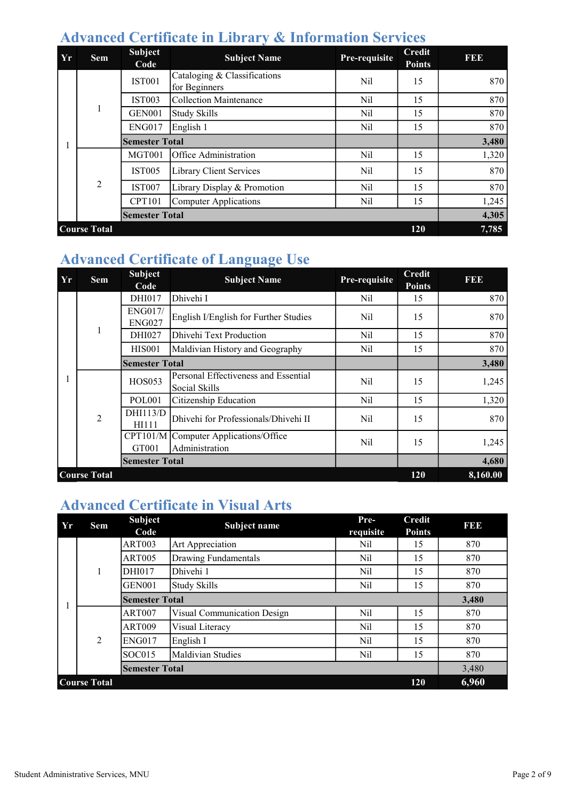#### Advanced Certificate in Library & Information Services

| Yr | <b>Sem</b>          | <b>Subject</b><br>Code | <b>Subject Name</b>                           | Pre-requisite | <b>Credit</b><br><b>Points</b> | <b>RBD</b> |
|----|---------------------|------------------------|-----------------------------------------------|---------------|--------------------------------|------------|
|    |                     | <b>IST001</b>          | Cataloging & Classifications<br>for Beginners | Nil           | 15                             | 870        |
|    |                     | <b>IST003</b>          | <b>Collection Maintenance</b>                 | Nil           | 15                             | 870        |
|    | 1                   | <b>GEN001</b>          | <b>Study Skills</b>                           | Nil           | 15                             | 870        |
|    |                     | <b>ENG017</b>          | English 1                                     | Nil           | 15                             | 870        |
|    |                     | <b>Semester Total</b>  |                                               |               |                                | 3,480      |
|    |                     | <b>MGT001</b>          | Office Administration                         | Nil           | 15                             | 1,320      |
|    |                     | <b>IST005</b>          | Library Client Services                       | Nil           | 15                             | 870        |
|    | $\overline{2}$      | <b>IST007</b>          | Library Display & Promotion                   | Nil           | 15                             | 870        |
|    |                     | <b>CPT101</b>          | <b>Computer Applications</b>                  | Nil           | 15                             | 1,245      |
|    |                     | <b>Semester Total</b>  |                                               |               |                                | 4,305      |
|    | <b>Course Total</b> |                        |                                               |               | 120                            | 7,785      |

# Advanced Certificate of Language Use

| Yr | <b>Sem</b>          | <b>Subject</b><br>Code          | <b>Subject Name</b>                                   | Pre-requisite   | <b>Credit</b><br><b>Points</b> | FEE      |
|----|---------------------|---------------------------------|-------------------------------------------------------|-----------------|--------------------------------|----------|
|    |                     | DHI017                          | Dhivehi I                                             | Nil             | 15                             | 870      |
|    |                     | <b>ENG017/</b><br><b>ENG027</b> | English I/English for Further Studies                 | Nil             | 15                             | 870      |
|    | 1                   | DHI027                          | Dhivehi Text Production                               | Nil             | 15                             | 870      |
|    |                     | <b>HIS001</b>                   | Maldivian History and Geography                       | Nil             | 15                             | 870      |
|    |                     | <b>Semester Total</b>           |                                                       |                 |                                | 3,480    |
|    |                     | <b>HOS053</b>                   | Personal Effectiveness and Essential<br>Social Skills | N <sub>il</sub> | 15                             | 1,245    |
|    |                     | <b>POL001</b>                   | Citizenship Education                                 | Nil             | 15                             | 1,320    |
|    | $\overline{2}$      | DHI113/D<br>HI111               | Dhivehi for Professionals/Dhivehi II                  | Nil             | 15                             | 870      |
|    |                     | CPT101/M<br>GT001               | Computer Applications/Office<br>Administration        | Nil             | 15                             | 1,245    |
|    |                     | <b>Semester Total</b>           |                                                       |                 |                                | 4,680    |
|    | <b>Course Total</b> |                                 |                                                       |                 | 120                            | 8,160.00 |

## Advanced Certificate in Visual Arts

| Yr | Sem                 | <b>Subject</b><br>Code | Subject name                | Pre-<br>requisite | <b>Credit</b><br><b>Points</b> | <b>BBB</b> |
|----|---------------------|------------------------|-----------------------------|-------------------|--------------------------------|------------|
|    |                     | <b>ART003</b>          | Art Appreciation            | Nil               | 15                             | 870        |
|    |                     | <b>ART005</b>          | Drawing Fundamentals        | Nil               | 15                             | 870        |
|    | 1                   | DHI017                 | Dhivehi 1                   | Nil               | 15                             | 870        |
|    |                     | GEN <sub>001</sub>     | <b>Study Skills</b>         | Nil               | 15                             | 870        |
|    |                     | <b>Semester Total</b>  |                             |                   |                                | 3,480      |
|    |                     | <b>ART007</b>          | Visual Communication Design | Nil               | 15                             | 870        |
|    |                     | <b>ART009</b>          | Visual Literacy             | Nil               | 15                             | 870        |
|    | 2                   | <b>ENG017</b>          | English I                   | Nil               | 15                             | 870        |
|    |                     | SOC015                 | Maldivian Studies           | Nil               | 15                             | 870        |
|    |                     | <b>Semester Total</b>  |                             |                   |                                | 3,480      |
|    | <b>Course Total</b> |                        |                             |                   | 120                            | 6,960      |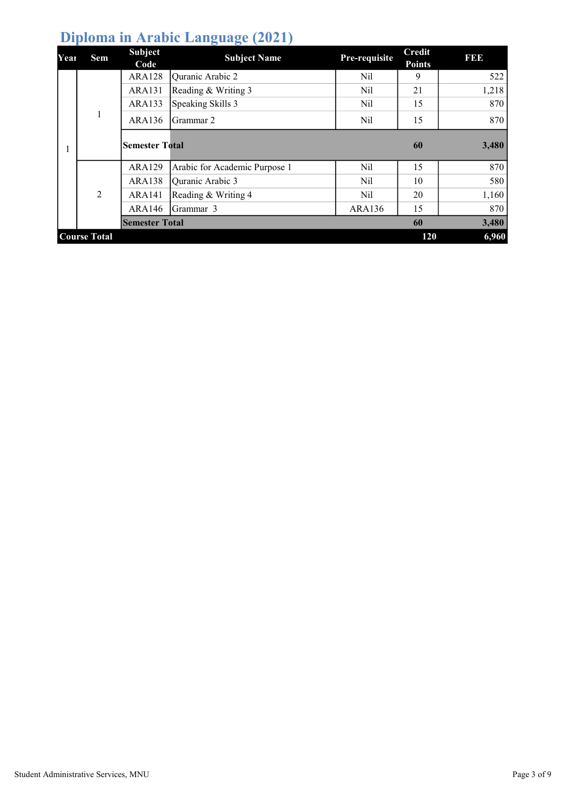# Diploma in Arabic Language (2021)

| Year | Sem                 | <b>Subject</b><br>Code | <b>Subject Name</b>           | Pre-requisite | <b>Credit</b><br><b>Points</b> | I 31 31 3 |
|------|---------------------|------------------------|-------------------------------|---------------|--------------------------------|-----------|
|      |                     | ARA128                 | Quranic Arabic 2              | Nil           | 9                              | 522       |
|      |                     | ARA131                 | Reading & Writing 3           | Nil           | 21                             | 1,218     |
|      |                     | ARA133                 | Speaking Skills 3             | Nil           | 15                             | 870       |
|      | -1                  | ARA136                 | Grammar 2                     | Nil           | 15                             | 870       |
|      |                     | <b>Semester Total</b>  |                               |               | 60                             | 3,480     |
|      |                     | <b>ARA129</b>          | Arabic for Academic Purpose 1 | Nil           | 15                             | 870       |
|      |                     | <b>ARA138</b>          | Quranic Arabic 3              | Nil           | 10                             | 580       |
|      | 2                   | <b>ARA141</b>          | Reading & Writing 4           | Nil           | 20                             | 1,160     |
|      |                     | ARA146                 | Grammar 3                     | ARA136        | 15                             | 870       |
|      |                     | <b>Semester Total</b>  |                               |               | 60                             | 3,480     |
|      | <b>Course Total</b> |                        |                               |               | 120                            | 6,960     |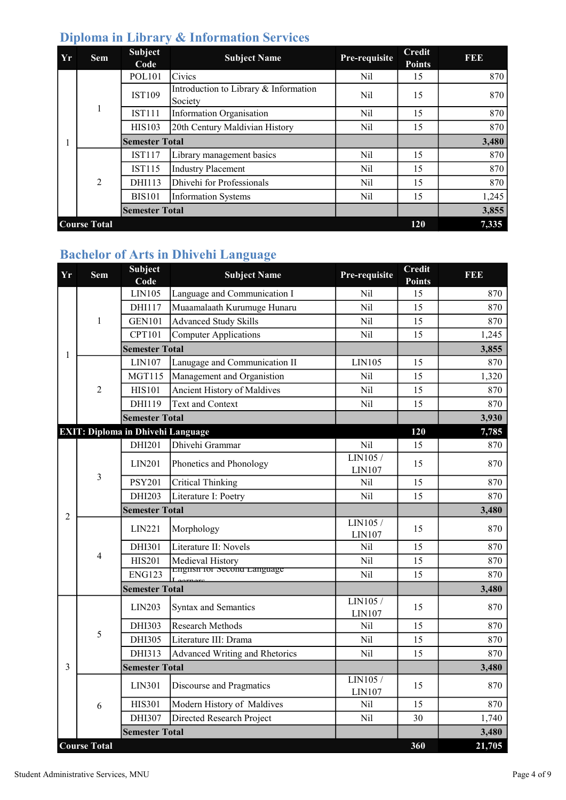| <b>Yr</b> | <b>Sem</b>          | <b>Subject</b><br>Code | <b>Subject Name</b>                              | Pre-requisite | <b>Credit</b><br><b>Points</b> | 11111 |
|-----------|---------------------|------------------------|--------------------------------------------------|---------------|--------------------------------|-------|
|           |                     | <b>POL101</b>          | Civics                                           | Nil           | 15                             | 870   |
|           |                     | <b>IST109</b>          | Introduction to Library & Information<br>Society | Nil           | 15                             | 870   |
|           |                     | <b>IST111</b>          | Information Organisation                         | Nil           | 15                             | 870   |
|           |                     | <b>HIS103</b>          | 20th Century Maldivian History                   | Nil           | 15                             | 870   |
|           |                     | <b>Semester Total</b>  |                                                  |               |                                | 3,480 |
|           |                     | <b>IST117</b>          | Library management basics                        | Nil           | 15                             | 870   |
|           |                     | <b>IST115</b>          | Industry Placement                               | Nil           | 15                             | 870   |
|           | $\overline{2}$      | DHI113                 | Dhivehi for Professionals                        | Nil           | 15                             | 870   |
|           |                     | <b>BIS101</b>          | <b>Information Systems</b>                       | Nil           | 15                             | 1,245 |
|           |                     | <b>Semester Total</b>  |                                                  |               |                                | 3,855 |
|           | <b>Course Total</b> |                        |                                                  |               | 120                            | 7,335 |

## Diploma in Library & Information Services

# Bachelor of Arts in Dhivehi Language

| Yr | <b>Sem</b>          | <b>Subject</b><br>Code                   | <b>Subject Name</b>            | Pre-requisite      | <b>Credit</b><br>Points | FEE    |
|----|---------------------|------------------------------------------|--------------------------------|--------------------|-------------------------|--------|
|    |                     | LIN105                                   | Language and Communication I   | Nil                | 15                      | 870    |
|    |                     | DHI117                                   | Muaamalaath Kurumuge Hunaru    | Nil                | 15                      | 870    |
|    | $\mathbf{1}$        | <b>GEN101</b>                            | <b>Advanced Study Skills</b>   | Nil                | 15                      | 870    |
|    |                     | <b>CPT101</b>                            | <b>Computer Applications</b>   | Nil                | 15                      | 1,245  |
| 1  |                     | <b>Semester Total</b>                    |                                |                    |                         | 3,855  |
|    |                     | LIN107                                   | Lanugage and Communication II  | LIN105             | 15                      | 870    |
|    |                     | <b>MGT115</b>                            | Management and Organistion     | Nil                | 15                      | 1,320  |
|    | $\overline{2}$      | <b>HIS101</b>                            | Ancient History of Maldives    | Nil                | 15                      | 870    |
|    |                     | DHI119                                   | <b>Text and Context</b>        | Nil                | 15                      | 870    |
|    |                     | <b>Semester Total</b>                    |                                |                    |                         | 3,930  |
|    |                     | <b>EXIT: Diploma in Dhivehi Language</b> |                                |                    | 120                     | 7,785  |
|    |                     | DHI201                                   | Dhivehi Grammar                | <b>Nil</b>         | 15                      | 870    |
|    |                     | LIN201                                   | Phonetics and Phonology        | LIN105/<br>LIN107  | 15                      | 870    |
|    | 3                   | <b>PSY201</b>                            | <b>Critical Thinking</b>       | Nil                | 15                      | 870    |
|    |                     | DHI203                                   | Literature I: Poetry           | Nil                | 15                      | 870    |
| 2  |                     | <b>Semester Total</b>                    |                                |                    |                         | 3,480  |
|    |                     | LIN221                                   | Morphology                     | LIN105/<br>LIN107  | 15                      | 870    |
|    |                     | DHI301                                   | Literature II: Novels          | Nil                | 15                      | 870    |
|    | 4                   | <b>HIS201</b>                            | Medieval History               | Nil                | 15                      | 870    |
|    |                     | <b>ENG123</b>                            | English for Second Language    | Nil                | 15                      | 870    |
|    |                     | <b>Semester Total</b>                    |                                |                    |                         | 3,480  |
|    |                     | LIN203                                   | <b>Syntax and Semantics</b>    | LIN105 /<br>LIN107 | 15                      | 870    |
|    | 5                   | DHI303                                   | Research Methods               | Nil                | 15                      | 870    |
|    |                     | DHI305                                   | Literature III: Drama          | Nil                | 15                      | 870    |
|    |                     | DHI313                                   | Advanced Writing and Rhetorics | Nil                | 15                      | 870    |
| 3  |                     | <b>Semester Total</b>                    |                                |                    |                         | 3,480  |
|    |                     | <b>LIN301</b>                            | Discourse and Pragmatics       | LIN105 /<br>LIN107 | 15                      | 870    |
|    | 6                   | <b>HIS301</b>                            | Modern History of Maldives     | Nil                | 15                      | 870    |
|    |                     | DHI307                                   | Directed Research Project      | Nil                | 30                      | 1,740  |
|    |                     | <b>Semester Total</b>                    |                                |                    |                         | 3,480  |
|    | <b>Course Total</b> |                                          |                                |                    | 360                     | 21,705 |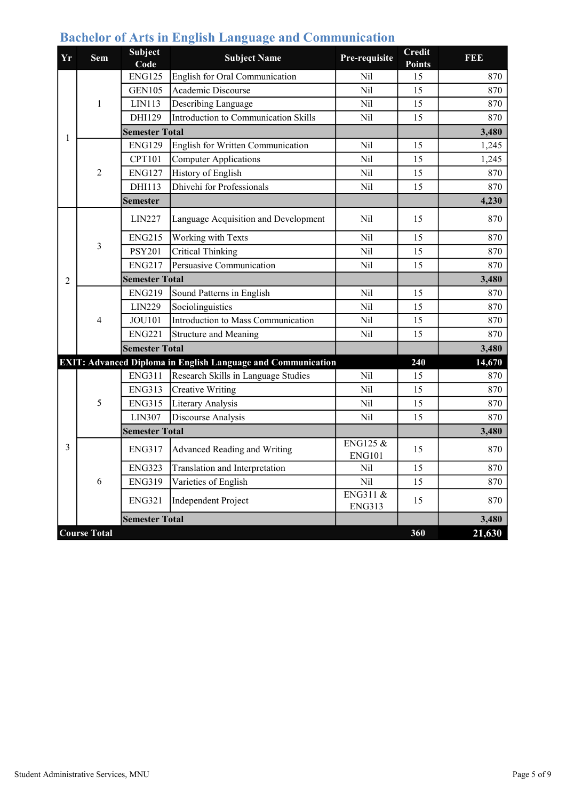| <b>Yr</b>      | <b>Sem</b>          | <b>Subject</b><br>Code | <b>Subject Name</b>                                                 | Pre-requisite                        | <b>Credit</b><br><b>Points</b> | <b>RBD</b> |
|----------------|---------------------|------------------------|---------------------------------------------------------------------|--------------------------------------|--------------------------------|------------|
|                |                     | <b>ENG125</b>          | English for Oral Communication                                      | Nil                                  | 15                             | 870        |
|                |                     | <b>GEN105</b>          | Academic Discourse                                                  | Nil                                  | 15                             | 870        |
|                | $\mathbf{1}$        | LIN113                 | Describing Language                                                 | Nil                                  | 15                             | 870        |
|                |                     | DHI129                 | Introduction to Communication Skills                                | Nil                                  | 15                             | 870        |
| 1              |                     | <b>Semester Total</b>  |                                                                     |                                      |                                | 3,480      |
|                |                     | <b>ENG129</b>          | English for Written Communication                                   | Nil                                  | 15                             | 1,245      |
|                |                     | <b>CPT101</b>          | <b>Computer Applications</b>                                        | N <sub>il</sub>                      | 15                             | 1,245      |
|                | $\overline{2}$      | <b>ENG127</b>          | History of English                                                  | Nil                                  | 15                             | 870        |
|                |                     | DHI113                 | Dhivehi for Professionals                                           | Nil                                  | 15                             | 870        |
|                |                     | <b>Semester</b>        |                                                                     |                                      |                                | 4,230      |
|                |                     | LIN227                 | Language Acquisition and Development                                | Nil                                  | 15                             | 870        |
|                |                     | <b>ENG215</b>          | Working with Texts                                                  | Nil                                  | 15                             | 870        |
|                | 3                   | <b>PSY201</b>          | <b>Critical Thinking</b>                                            | Nil                                  | 15                             | 870        |
|                |                     | <b>ENG217</b>          | Persuasive Communication                                            | Nil                                  | 15                             | 870        |
| $\mathfrak{D}$ |                     | <b>Semester Total</b>  |                                                                     |                                      |                                | 3,480      |
|                |                     | <b>ENG219</b>          | Sound Patterns in English                                           | Nil                                  | 15                             | 870        |
|                |                     | LIN229                 | Sociolinguistics                                                    | Nil                                  | 15                             | 870        |
|                | 4                   | <b>JOU101</b>          | Introduction to Mass Communication                                  | Nil                                  | 15                             | 870        |
|                |                     | <b>ENG221</b>          | Structure and Meaning                                               | Nil                                  | 15                             | 870        |
|                |                     | <b>Semester Total</b>  |                                                                     |                                      |                                | 3,480      |
|                |                     |                        | <b>EXIT: Advanced Diploma in English Language and Communication</b> |                                      | 240                            | 14,670     |
|                |                     | <b>ENG311</b>          | Research Skills in Language Studies                                 | Nil                                  | 15                             | 870        |
|                |                     | <b>ENG313</b>          | <b>Creative Writing</b>                                             | Nil                                  | 15                             | 870        |
|                | 5                   | <b>ENG315</b>          | Literary Analysis                                                   | Nil                                  | 15                             | 870        |
|                |                     | LIN307                 | Discourse Analysis                                                  | Nil                                  | 15                             | 870        |
|                |                     | <b>Semester Total</b>  |                                                                     |                                      |                                | 3,480      |
| 3              |                     | <b>ENG317</b>          | Advanced Reading and Writing                                        | <b>ENG125 &amp;</b><br><b>ENG101</b> | 15                             | 870        |
|                |                     | <b>ENG323</b>          | Translation and Interpretation                                      | Nil                                  | 15                             | 870        |
|                | 6                   | <b>ENG319</b>          | Varieties of English                                                | Nil                                  | 15                             | 870        |
|                |                     | <b>ENG321</b>          | Independent Project                                                 | ENG311 &<br><b>ENG313</b>            | 15                             | 870        |
|                |                     | <b>Semester Total</b>  |                                                                     |                                      |                                | 3,480      |
|                | <b>Course Total</b> |                        |                                                                     |                                      | 360                            | 21,630     |

# Bachelor of Arts in English Language and Communication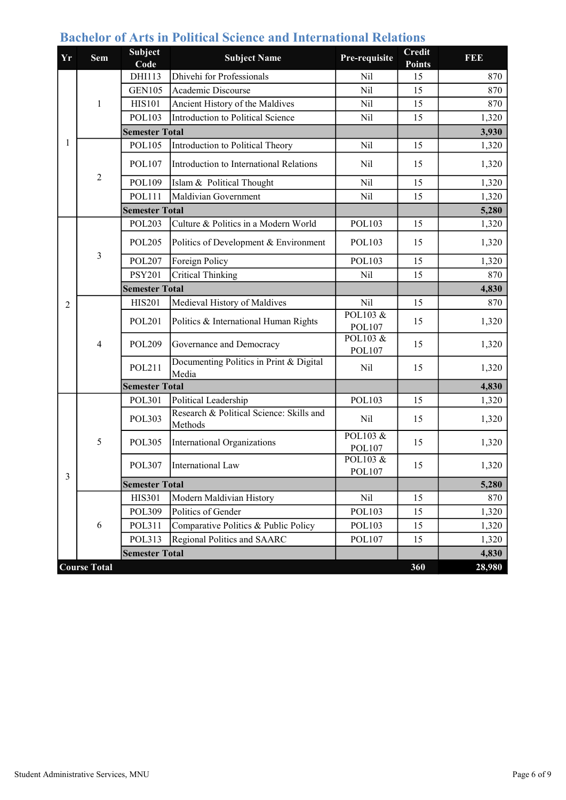| <b>Yr</b>      | <b>Sem</b>          | <b>Subject</b><br>Code | <b>Subject Name</b>                                 | Pre-requisite             | <b>Credit</b><br><b>Points</b> | FDD    |
|----------------|---------------------|------------------------|-----------------------------------------------------|---------------------------|--------------------------------|--------|
|                |                     | DHI113                 | Dhivehi for Professionals                           | Nil                       | 15                             | 870    |
|                |                     | <b>GEN105</b>          | Academic Discourse                                  | Nil                       | 15                             | 870    |
|                | 1                   | <b>HIS101</b>          | Ancient History of the Maldives                     | Nil                       | 15                             | 870    |
|                |                     | <b>POL103</b>          | Introduction to Political Science                   | Nil                       | 15                             | 1,320  |
|                |                     | <b>Semester Total</b>  |                                                     |                           |                                | 3,930  |
| 1              |                     | <b>POL105</b>          | Introduction to Political Theory                    | Nil                       | 15                             | 1,320  |
|                |                     | <b>POL107</b>          | Introduction to International Relations             | Nil                       | 15                             | 1,320  |
|                | $\overline{2}$      | POL109                 | Islam & Political Thought                           | Nil                       | 15                             | 1,320  |
|                |                     | <b>POL111</b>          | Maldivian Government                                | Nil                       | 15                             | 1,320  |
|                |                     | <b>Semester Total</b>  |                                                     |                           |                                | 5,280  |
|                |                     | <b>POL203</b>          | Culture & Politics in a Modern World                | POL103                    | 15                             | 1,320  |
|                |                     | <b>POL205</b>          | Politics of Development & Environment               | <b>POL103</b>             | 15                             | 1,320  |
|                | $\overline{3}$      | <b>POL207</b>          | Foreign Policy                                      | POL103                    | 15                             | 1,320  |
|                |                     | <b>PSY201</b>          | <b>Critical Thinking</b>                            | Nil                       | 15                             | 870    |
|                |                     | <b>Semester Total</b>  |                                                     |                           |                                | 4,830  |
| $\overline{2}$ |                     | <b>HIS201</b>          | Medieval History of Maldives                        | Nil                       | 15                             | 870    |
|                |                     | <b>POL201</b>          | Politics & International Human Rights               | POL103 &<br>POL107        | 15                             | 1,320  |
|                | $\overline{4}$      | <b>POL209</b>          | Governance and Democracy                            | POL103 &<br><b>POL107</b> | 15                             | 1,320  |
|                |                     | POL211                 | Documenting Politics in Print & Digital<br>Media    | Nil                       | 15                             | 1,320  |
|                |                     | <b>Semester Total</b>  |                                                     |                           |                                | 4,830  |
|                |                     | POL301                 | Political Leadership                                | POL103                    | 15                             | 1,320  |
|                |                     | <b>POL303</b>          | Research & Political Science: Skills and<br>Methods | Nil                       | 15                             | 1,320  |
|                | 5                   | <b>POL305</b>          | International Organizations                         | POL103 &<br>POL107        | 15                             | 1,320  |
| $\mathfrak{Z}$ |                     | <b>POL307</b>          | International Law                                   | POL103 &<br>POL107        | 15                             | 1,320  |
|                |                     | <b>Semester Total</b>  |                                                     |                           |                                | 5,280  |
|                |                     | <b>HIS301</b>          | Modern Maldivian History                            | Nil                       | 15                             | 870    |
|                |                     | POL309                 | Politics of Gender                                  | POL103                    | 15                             | 1,320  |
|                | 6                   | POL311                 | Comparative Politics & Public Policy                | POL103                    | 15                             | 1,320  |
|                |                     | POL313                 | Regional Politics and SAARC                         | POL107                    | 15                             | 1,320  |
|                |                     | <b>Semester Total</b>  |                                                     |                           |                                | 4,830  |
|                | <b>Course Total</b> |                        |                                                     |                           | 360                            | 28,980 |

## Bachelor of Arts in Political Science and International Relations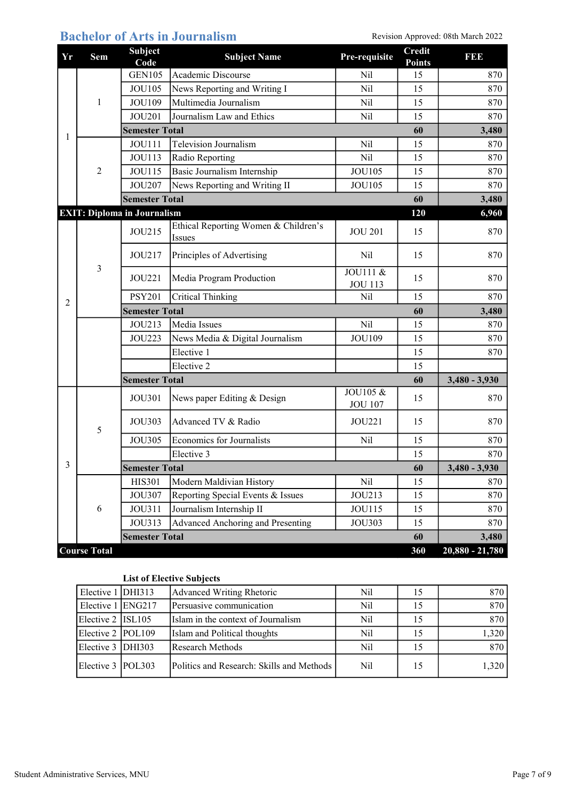| <b>Bachelor of Arts in Journalism</b><br>Revision Approved: 08th March 2022 |
|-----------------------------------------------------------------------------|
|-----------------------------------------------------------------------------|

| Yr             | <b>Sem</b>            | <b>Subject</b><br>Code             | <b>Subject Name</b>                            | Pre-requisite              | <b>Credit</b><br><b>Points</b> | <b>BB</b>         |
|----------------|-----------------------|------------------------------------|------------------------------------------------|----------------------------|--------------------------------|-------------------|
|                |                       | <b>GEN105</b>                      | Academic Discourse                             | Nil                        | 15                             | 870               |
|                |                       | <b>JOU105</b>                      | News Reporting and Writing I                   | Nil                        | 15                             | 870               |
|                | 1                     | <b>JOU109</b>                      | Multimedia Journalism                          | Nil                        | 15                             | 870               |
|                |                       | <b>JOU201</b>                      | Journalism Law and Ethics                      | Nil                        | 15                             | 870               |
| 1              |                       | <b>Semester Total</b>              |                                                |                            | 60                             | 3,480             |
|                |                       | <b>JOU111</b>                      | <b>Television Journalism</b>                   | Nil                        | 15                             | 870               |
|                |                       | <b>JOU113</b>                      | Radio Reporting                                | Nil                        | 15                             | 870               |
|                | $\overline{c}$        | <b>JOU115</b>                      | Basic Journalism Internship                    | <b>JOU105</b>              | 15                             | 870               |
|                |                       | <b>JOU207</b>                      | News Reporting and Writing II                  | <b>JOU105</b>              | 15                             | 870               |
|                |                       | <b>Semester Total</b>              |                                                |                            | 60                             | 3,480             |
|                |                       | <b>EXIT: Diploma in Journalism</b> |                                                |                            | 120                            | 6,960             |
|                | $\mathfrak{Z}$        | JOU215                             | Ethical Reporting Women & Children's<br>Issues | <b>JOU 201</b>             | 15                             | 870               |
|                |                       | JOU217                             | Principles of Advertising                      | Nil                        | 15                             | 870               |
|                |                       | <b>JOU221</b>                      | Media Program Production                       | JOU111 &<br><b>JOU 113</b> | 15                             | 870               |
| $\overline{2}$ |                       | <b>PSY201</b>                      | <b>Critical Thinking</b>                       | Nil                        | 15                             | 870               |
|                |                       | <b>Semester Total</b>              |                                                |                            | 60                             | 3,480             |
|                |                       | JOU213                             | Media Issues                                   | Nil                        | 15                             | 870               |
|                |                       | <b>JOU223</b>                      | News Media & Digital Journalism                | <b>JOU109</b>              | 15                             | 870               |
|                |                       |                                    | Elective 1                                     |                            | 15                             | 870               |
|                |                       |                                    | Elective 2                                     |                            | 15                             |                   |
|                | <b>Semester Total</b> |                                    |                                                |                            | 60                             | $3,480 - 3,930$   |
|                | 5                     | <b>JOU301</b>                      | News paper Editing & Design                    | JOU105 &<br><b>JOU 107</b> | 15                             | 870               |
|                |                       | <b>JOU303</b>                      | Advanced TV & Radio                            | JOU221                     | 15                             | 870               |
|                |                       | <b>JOU305</b>                      | <b>Economics for Journalists</b>               | Nil                        | 15                             | 870               |
|                |                       |                                    | Elective 3                                     |                            | 15                             | 870               |
| 3              |                       | <b>Semester Total</b>              |                                                |                            | 60                             | $3,480 - 3,930$   |
|                |                       | <b>HIS301</b>                      | Modern Maldivian History                       | Nil                        | 15                             | 870               |
|                | 6                     | <b>JOU307</b>                      | Reporting Special Events & Issues              | JOU213                     | 15                             | 870               |
|                |                       | JOU311                             | Journalism Internship II                       | JOU115                     | 15                             | 870               |
|                |                       | JOU313                             | Advanced Anchoring and Presenting              | JOU303                     | 15                             | 870               |
|                |                       | <b>Semester Total</b>              |                                                |                            | 60                             | 3,480             |
|                | <b>Course Total</b>   |                                    |                                                |                            | 360                            | $20,880 - 21,780$ |

#### List of Elective Subjects

| Elective $1$ DHI313 | Advanced Writing Rhetoric                 | Nil |    | 870   |
|---------------------|-------------------------------------------|-----|----|-------|
| Elective 1 ENG217   | Persuasive communication                  | Nil |    | 870   |
| Elective $2$ ISL105 | Islam in the context of Journalism        | Nil |    | 870   |
| Elective 2   POL109 | Islam and Political thoughts              | Nil |    | 1,320 |
| Elective 3 DHI303   | Research Methods                          | Nil | 15 | 870   |
| Elective 3 POL303   | Politics and Research: Skills and Methods | Nil | 15 | 1,320 |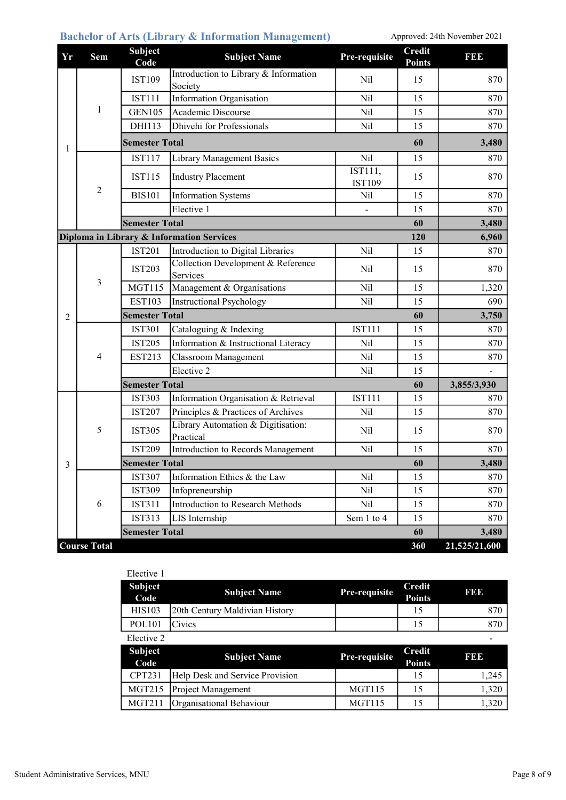#### Bachelor of Arts (Library & Information Management) Approved: 24th November 2021

| Yr             | <b>Sem</b>          | <b>Subject</b><br>Code | <b>Subject Name</b>                              | Pre-requisite            | <b>Credit</b><br><b>Points</b> | <b>BB</b>     |
|----------------|---------------------|------------------------|--------------------------------------------------|--------------------------|--------------------------------|---------------|
| 1              | 1                   | <b>IST109</b>          | Introduction to Library & Information<br>Society | Nil                      | 15                             | 870           |
|                |                     | <b>IST111</b>          | <b>Information Organisation</b>                  | Nil                      | 15                             | 870           |
|                |                     | <b>GEN105</b>          | Academic Discourse                               | Nil                      | 15                             | 870           |
|                |                     | DHI113                 | Dhivehi for Professionals                        | Nil                      | 15                             | 870           |
|                |                     | <b>Semester Total</b>  |                                                  |                          | 60                             | 3,480         |
|                |                     | <b>IST117</b>          | <b>Library Management Basics</b>                 | Nil                      | 15                             | 870           |
|                |                     | <b>IST115</b>          | <b>Industry Placement</b>                        | IST111,<br><b>IST109</b> | 15                             | 870           |
|                | $\overline{2}$      | <b>BIS101</b>          | <b>Information Systems</b>                       | Nil                      | 15                             | 870           |
|                |                     |                        | Elective 1                                       |                          | 15                             | 870           |
|                |                     | <b>Semester Total</b>  |                                                  |                          | 60                             | 3,480         |
|                |                     |                        | Diploma in Library & Information Services        |                          | 120                            | 6,960         |
|                |                     | <b>IST201</b>          | Introduction to Digital Libraries                | Nil                      | 15                             | 870           |
|                | 3                   | <b>IST203</b>          | Collection Development & Reference<br>Services   | Nil                      | 15                             | 870           |
|                |                     | <b>MGT115</b>          | Management & Organisations                       | Nil                      | 15                             | 1,320         |
|                |                     | <b>EST103</b>          | <b>Instructional Psychology</b>                  | Nil                      | 15                             | 690           |
| $\overline{2}$ |                     | <b>Semester Total</b>  |                                                  |                          | 60                             | 3,750         |
|                | 4                   | <b>IST301</b>          | Cataloguing & Indexing                           | <b>IST111</b>            | 15                             | 870           |
|                |                     | <b>IST205</b>          | Information & Instructional Literacy             | Nil                      | 15                             | 870           |
|                |                     | <b>EST213</b>          | Classroom Management                             | Nil                      | 15                             | 870           |
|                |                     |                        | Elective 2                                       | Nil                      | 15                             |               |
|                |                     | <b>Semester Total</b>  |                                                  |                          | 60                             | 3,855/3,930   |
|                |                     | <b>IST303</b>          | Information Organisation & Retrieval             | <b>IST111</b>            | 15                             | 870           |
|                | 5                   | <b>IST207</b>          | Principles & Practices of Archives               | Nil                      | 15                             | 870           |
|                |                     | <b>IST305</b>          | Library Automation & Digitisation:<br>Practical  | Nil                      | 15                             | 870           |
|                |                     | <b>IST209</b>          | Introduction to Records Management               | Nil                      | 15                             | 870           |
| 3              |                     | <b>Semester Total</b>  |                                                  |                          | 60                             | 3,480         |
|                |                     | <b>IST307</b>          | Information Ethics & the Law                     | Nil                      | 15                             | 870           |
|                | 6                   | <b>IST309</b>          | Infopreneurship                                  | Nil                      | 15                             | 870           |
|                |                     | <b>IST311</b>          | Introduction to Research Methods                 | Nil                      | 15                             | 870           |
|                |                     | <b>IST313</b>          | LIS Internship                                   | Sem 1 to 4               | 15                             | 870           |
|                |                     | <b>Semester Total</b>  |                                                  |                          | 60                             | 3,480         |
|                | <b>Course Total</b> |                        |                                                  |                          | 360                            | 21,525/21,600 |

| Elective 1             |                                 |               |                                |            |
|------------------------|---------------------------------|---------------|--------------------------------|------------|
| <b>Subject</b><br>Code | <b>Subject Name</b>             | Pre-requisite | <b>Credit</b><br><b>Points</b> | <b>BBB</b> |
| <b>HIS103</b>          | 20th Century Maldivian History  |               | 15                             | 870        |
| <b>POL101</b>          | Civics                          |               | 15                             | 870        |
| Elective 2             |                                 |               |                                |            |
|                        |                                 |               |                                |            |
| <b>Subject</b><br>Code | <b>Subject Name</b>             | Pre-requisite | <b>Credit</b><br><b>Points</b> | 19313      |
| <b>CPT231</b>          | Help Desk and Service Provision |               | 15                             | 1,245      |
| <b>MGT215</b>          | Project Management              | MGT115        | 15                             | 1,320      |